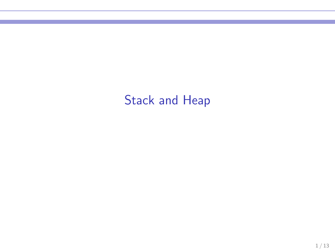Stack and Heap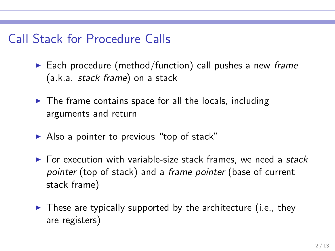# Call Stack for Procedure Calls

- $\triangleright$  Each procedure (method/function) call pushes a new frame (a.k.a. stack frame) on a stack
- $\blacktriangleright$  The frame contains space for all the locals, including arguments and return
- $\triangleright$  Also a pointer to previous "top of stack"
- $\triangleright$  For execution with variable-size stack frames, we need a stack pointer (top of stack) and a frame pointer (base of current stack frame)
- $\blacktriangleright$  These are typically supported by the architecture (i.e., they are registers)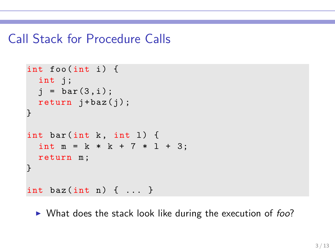#### Call Stack for Procedure Calls

```
int foo (int i) {
  int j;
  i = bar(3, i);return i + baz(i);
}
int bar (int k, int 1) {
  int m = k * k + 7 * 1 + 3;
  return m;
}
int baz(int n) { ... }
```
 $\triangleright$  What does the stack look like during the execution of foo?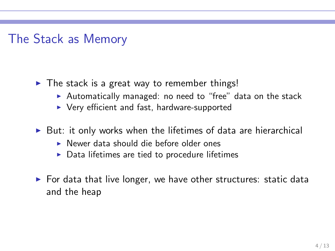# The Stack as Memory

- $\triangleright$  The stack is a great way to remember things!
	- ▶ Automatically managed: no need to "free" data on the stack
	- ▶ Very efficient and fast, hardware-supported
- $\triangleright$  But: it only works when the lifetimes of data are hierarchical
	- ► Newer data should die before older ones
	- $\triangleright$  Data lifetimes are tied to procedure lifetimes
- $\triangleright$  For data that live longer, we have other structures: static data and the heap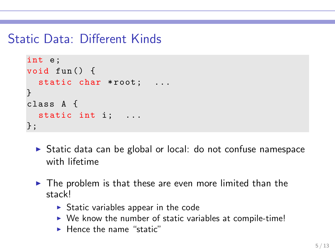# Static Data: Different Kinds

```
int e;
void fun () {
  static char *root; ...
}
class A {
  static int i; ...
};
```
- ▶ Static data can be global or local: do not confuse namespace with lifetime
- ▶ The problem is that these are even more limited than the stack!
	- $\triangleright$  Static variables appear in the code
	- $\triangleright$  We know the number of static variables at compile-time!
	- $\blacktriangleright$  Hence the name "static"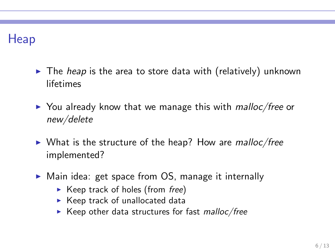## **Heap**

- $\triangleright$  The *heap* is the area to store data with (relatively) unknown lifetimes
- $\triangleright$  You already know that we manage this with *malloc/free* or new/delete
- $\triangleright$  What is the structure of the heap? How are *malloc/free* implemented?
- ▶ Main idea: get space from OS, manage it internally
	- $\triangleright$  Keep track of holes (from free)
	- $\blacktriangleright$  Keep track of unallocated data
	- $\blacktriangleright$  Keep other data structures for fast malloc/free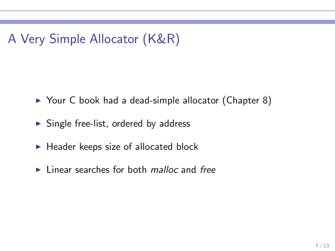# A Very Simple Allocator (K&R)

- $\triangleright$  Your C book had a dead-simple allocator (Chapter 8)
- $\triangleright$  Single free-list, ordered by address
- $\blacktriangleright$  Header keeps size of allocated block
- $\blacktriangleright$  Linear searches for both *malloc* and *free*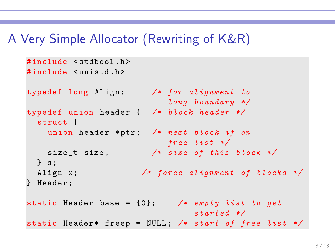#### A Very Simple Allocator (Rewriting of K&R)

```
# include < stdbool .h >
#include <unistd h>
typedef long Align; /* for alignment to
                          long boundary */
typedef union header { /* block header */
 struct {
   union header *ptr; /* next block if on
                          free list */
   size_t size; /* size of this block */\} s :
 Align x; /* force alignment of blocks */
} Header ;
static Header base = \{0\}; /* empty list to get
                               started */
static Header* freep = NULL; /* start of free list */
```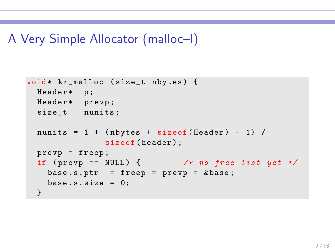# A Very Simple Allocator (malloc–I)

```
void* kr_malloc (size_t nbytes) {
 Header* p;
 Header* prevp;
 size_t nunits ;
 nunits = 1 + (nbytes + sizeof(Header) - 1) /sizeof (header);
 prevp = freep ;
 if (prevp == NULL) { /* no free list yet */base.s.ptr = freep = prevp = &base;base.s. size = 0;
 }
```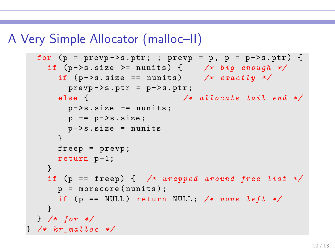#### A Very Simple Allocator (malloc–II)

```
for (p = prey -> s.ptr;; prevp = p, p = p->s.ptr) {
  if (p - \ge s \text{ is } z = \text{ nunits}) { /* big enough */
    if (p - >s.size == numits) /* exactly */
      prevp -> s. ptr = p -> s. ptr ;else { /* allocate tail end */
      p - >s. size - = nunits;
     p += p - >s. size;
      p - >s. size = nunits
    }
    free = prevp;
    return p+1;
  }
  if (p == freep) { /* wrapped around free list */p = morecore ( nunits );
    if (p == NULL) return NULL; /* none left */}
} /* for */
/* kr malloc */
```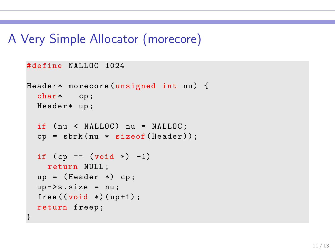# A Very Simple Allocator (morecore)

```
# define NALLOC 1024
Header* morecore (unsigned int nu) \{char * cp;Header* up;
 if (nu < NALLOC) nu = NALLOC;
  cp = sbrk(nu * sizeof (Header));if (cp == (void *) -1)return NULL ;
  up = (Header *) cp;up -> s.size = nu;free ((void *)(up+1));
  return freep ;
}
```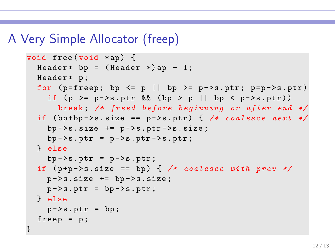# A Very Simple Allocator (freep)

```
void free (void *ap) {
  Header* bp = (Header *)ap - 1;
  Header* p;
  for (p = free); bp \leq p || bp \geq p \geq s. ptr; p = p - \geq s. ptr)
    if (p \ge p \ge s.ptr && (bp \ge p \mid bp \le p \ge s.ptr))
       break; /* freed before beginning or after end */if (bp+bp->s.size == p\rightarrow s.ptr) { /* coalesce next */
    bp -> s.size += p -> s . ptr -> s . size;
    bp -> s.ptr = p -> s.ptr -> s.ptr;} else
    bp -> s. ptr = p -> s. ptr;
  if (p+p->s.size == bp) { /* coalesce with prev */
    p - >s. size += bp - >s. size;
    p - >s. ptr = bp - >s. ptr;
  } else
    p - >s. ptr = bp;
  freep = p;
}
```